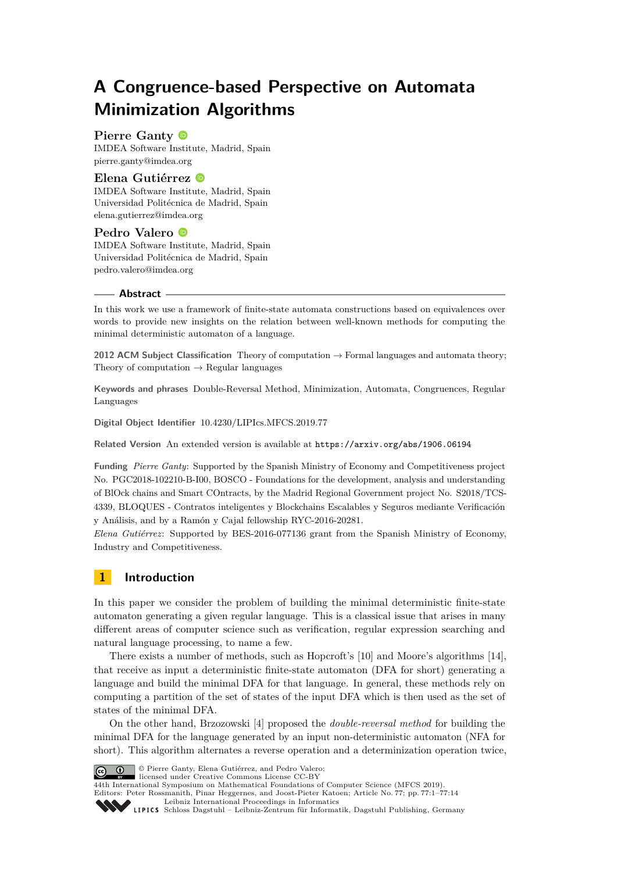# **A Congruence-based Perspective on Automata Minimization Algorithms**

# **Pierre Ganty**

IMDEA Software Institute, Madrid, Spain [pierre.ganty@imdea.org](mailto:pierre.ganty@imdea.org)

## **Elena Gutiérrez**

IMDEA Software Institute, Madrid, Spain Universidad Politécnica de Madrid, Spain [elena.gutierrez@imdea.org](mailto:elena.gutierrez@imdea.org)

# **Pedro Valero**

IMDEA Software Institute, Madrid, Spain Universidad Politécnica de Madrid, Spain [pedro.valero@imdea.org](mailto:pedro.valero@imdea.org)

#### **Abstract**

In this work we use a framework of finite-state automata constructions based on equivalences over words to provide new insights on the relation between well-known methods for computing the minimal deterministic automaton of a language.

**2012 ACM Subject Classification** Theory of computation → Formal languages and automata theory; Theory of computation  $\rightarrow$  Regular languages

**Keywords and phrases** Double-Reversal Method, Minimization, Automata, Congruences, Regular Languages

**Digital Object Identifier** [10.4230/LIPIcs.MFCS.2019.77](https://doi.org/10.4230/LIPIcs.MFCS.2019.77)

**Related Version** An extended version is available at <https://arxiv.org/abs/1906.06194>

**Funding** *Pierre Ganty*: Supported by the Spanish Ministry of Economy and Competitiveness project No. PGC2018-102210-B-I00, BOSCO - Foundations for the development, analysis and understanding of BlOck chains and Smart COntracts, by the Madrid Regional Government project No. S2018/TCS-4339, BLOQUES - Contratos inteligentes y Blockchains Escalables y Seguros mediante Verificación y Análisis, and by a Ramón y Cajal fellowship RYC-2016-20281.

*Elena Gutiérrez*: Supported by BES-2016-077136 grant from the Spanish Ministry of Economy, Industry and Competitiveness.

# **1 Introduction**

In this paper we consider the problem of building the minimal deterministic finite-state automaton generating a given regular language. This is a classical issue that arises in many different areas of computer science such as verification, regular expression searching and natural language processing, to name a few.

There exists a number of methods, such as Hopcroft's [\[10\]](#page-12-0) and Moore's algorithms [\[14\]](#page-13-0), that receive as input a deterministic finite-state automaton (DFA for short) generating a language and build the minimal DFA for that language. In general, these methods rely on computing a partition of the set of states of the input DFA which is then used as the set of states of the minimal DFA.

On the other hand, Brzozowski [\[4\]](#page-12-1) proposed the *double-reversal method* for building the minimal DFA for the language generated by an input non-deterministic automaton (NFA for short). This algorithm alternates a reverse operation and a determinization operation twice,



© Pierre Ganty, Elena Gutiérrez, and Pedro Valero;

licensed under Creative Commons License CC-BY 44th International Symposium on Mathematical Foundations of Computer Science (MFCS 2019).

Editors: Peter Rossmanith, Pinar Heggernes, and Joost-Pieter Katoen; Article No. 77; pp. 77:1–77[:14](#page-13-1)

[Leibniz International Proceedings in Informatics](https://www.dagstuhl.de/lipics/)

[Schloss Dagstuhl – Leibniz-Zentrum für Informatik, Dagstuhl Publishing, Germany](https://www.dagstuhl.de)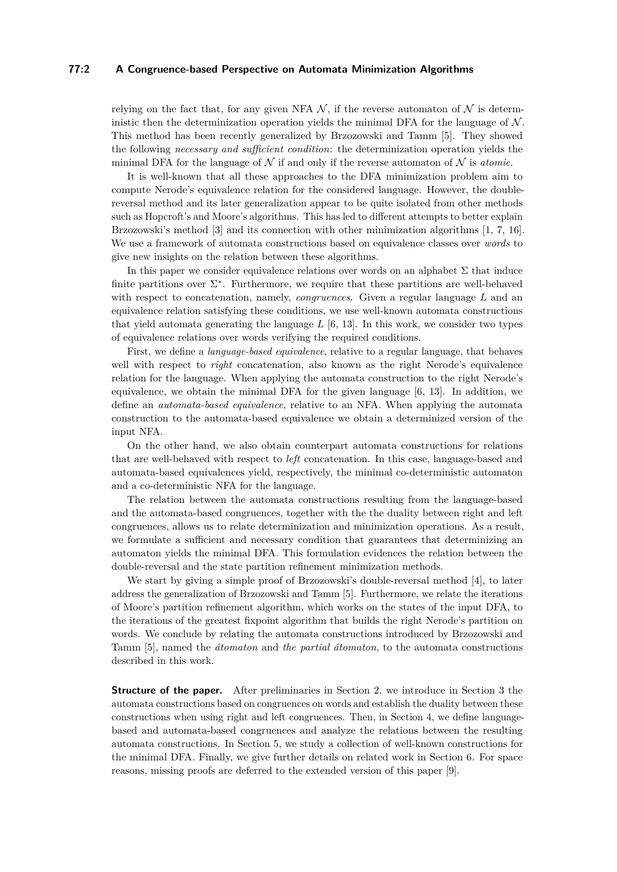## **77:2 A Congruence-based Perspective on Automata Minimization Algorithms**

relying on the fact that, for any given NFA  $\mathcal N$ , if the reverse automaton of  $\mathcal N$  is deterministic then the determinization operation yields the minimal DFA for the language of  $\mathcal N$ . This method has been recently generalized by Brzozowski and Tamm [\[5\]](#page-12-2). They showed the following *necessary and sufficient condition*: the determinization operation yields the minimal DFA for the language of  $\mathcal N$  if and only if the reverse automaton of  $\mathcal N$  is *atomic*.

It is well-known that all these approaches to the DFA minimization problem aim to compute Nerode's equivalence relation for the considered language. However, the doublereversal method and its later generalization appear to be quite isolated from other methods such as Hopcroft's and Moore's algorithms. This has led to different attempts to better explain Brzozowski's method [\[3\]](#page-12-3) and its connection with other minimization algorithms [\[1,](#page-12-4) [7,](#page-12-5) [16\]](#page-13-2). We use a framework of automata constructions based on equivalence classes over *words* to give new insights on the relation between these algorithms.

In this paper we consider equivalence relations over words on an alphabet  $\Sigma$  that induce finite partitions over  $\Sigma^*$ . Furthermore, we require that these partitions are well-behaved with respect to concatenation, namely, *congruences*. Given a regular language *L* and an equivalence relation satisfying these conditions, we use well-known automata constructions that yield automata generating the language *L* [\[6,](#page-12-6) [13\]](#page-13-3). In this work, we consider two types of equivalence relations over words verifying the required conditions.

First, we define a *language-based equivalence*, relative to a regular language, that behaves well with respect to *right* concatenation, also known as the right Nerode's equivalence relation for the language. When applying the automata construction to the right Nerode's equivalence, we obtain the minimal DFA for the given language  $[6, 13]$  $[6, 13]$  $[6, 13]$ . In addition, we define an *automata-based equivalence*, relative to an NFA. When applying the automata construction to the automata-based equivalence we obtain a determinized version of the input NFA.

On the other hand, we also obtain counterpart automata constructions for relations that are well-behaved with respect to *left* concatenation. In this case, language-based and automata-based equivalences yield, respectively, the minimal co-deterministic automaton and a co-deterministic NFA for the language.

The relation between the automata constructions resulting from the language-based and the automata-based congruences, together with the the duality between right and left congruences, allows us to relate determinization and minimization operations. As a result, we formulate a sufficient and necessary condition that guarantees that determinizing an automaton yields the minimal DFA. This formulation evidences the relation between the double-reversal and the state partition refinement minimization methods.

We start by giving a simple proof of Brzozowski's double-reversal method [\[4\]](#page-12-1), to later address the generalization of Brzozowski and Tamm [\[5\]](#page-12-2). Furthermore, we relate the iterations of Moore's partition refinement algorithm, which works on the states of the input DFA, to the iterations of the greatest fixpoint algorithm that builds the right Nerode's partition on words. We conclude by relating the automata constructions introduced by Brzozowski and Tamm [\[5\]](#page-12-2), named the *átomaton* and *the partial átomaton*, to the automata constructions described in this work.

**Structure of the paper.** After preliminaries in Section [2,](#page-2-0) we introduce in Section [3](#page-3-0) the automata constructions based on congruences on words and establish the duality between these constructions when using right and left congruences. Then, in Section [4,](#page-4-0) we define languagebased and automata-based congruences and analyze the relations between the resulting automata constructions. In Section [5,](#page-5-0) we study a collection of well-known constructions for the minimal DFA. Finally, we give further details on related work in Section [6.](#page-11-0) For space reasons, missing proofs are deferred to the extended version of this paper [\[9\]](#page-12-7).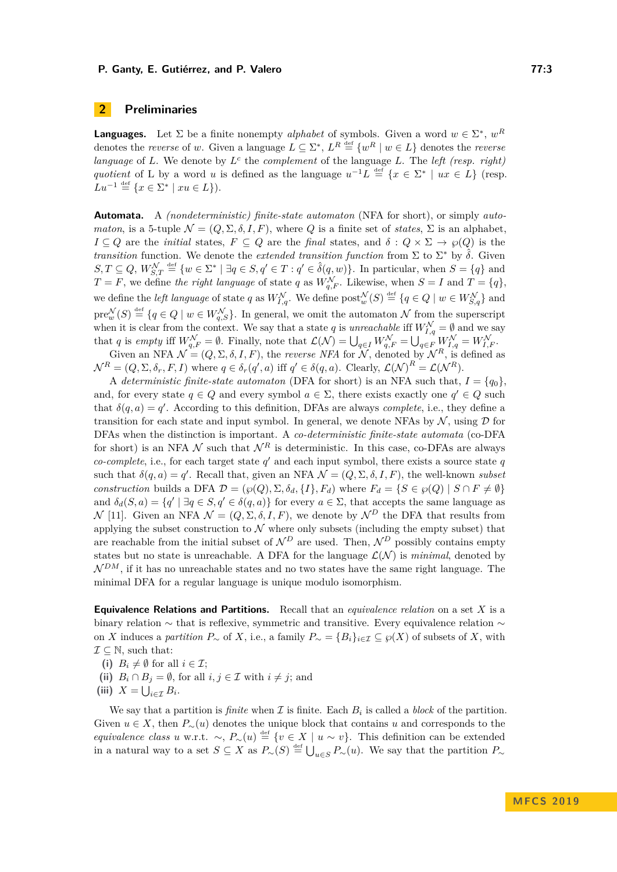# <span id="page-2-0"></span>**2 Preliminaries**

**Languages.** Let  $\Sigma$  be a finite nonempty *alphabet* of symbols. Given a word  $w \in \Sigma^*$ ,  $w^R$ denotes the *reverse* of *w*. Given a language  $L \subseteq \Sigma^*$ ,  $L^R \stackrel{\text{def}}{=} \{w^R \mid w \in L\}$  denotes the *reverse language* of *L*. We denote by  $L^c$  the *complement* of the language *L*. The *left (resp. right) quotient* of L by a word *u* is defined as the language  $u^{-1}L \stackrel{\text{def}}{=} \{x \in \Sigma^* \mid ux \in L\}$  (resp.  $Lu^{-1} \stackrel{\text{def}}{=} \{x \in \Sigma^* \mid xu \in L\}.$ 

**Automata.** A *(nondeterministic) finite-state automaton* (NFA for short), or simply *automaton*, is a 5-tuple  $\mathcal{N} = (Q, \Sigma, \delta, I, F)$ , where *Q* is a finite set of *states*,  $\Sigma$  is an alphabet, *I* ⊆ *Q* are the *initial* states, *F* ⊆ *Q* are the *final* states, and  $\delta$  :  $Q \times \Sigma \rightarrow \wp(Q)$  is the *transition* function. We denote the *extended transition function* from  $\Sigma$  to  $\Sigma^*$  by  $\hat{\delta}$ . Given  $S, T \subseteq Q$ ,  $W_{S,T}^{\mathcal{N}} \stackrel{\text{def}}{=} \{w \in \Sigma^* \mid \exists q \in S, q' \in T : q' \in \hat{\delta}(q, w)\}.$  In particular, when  $S = \{q\}$  and  $T = F$ , we define *the right language* of state *q* as  $W_{q,F}^{\mathcal{N}}$ . Likewise, when  $S = I$  and  $T = \{q\}$ , we define the *left language* of state *q* as  $W_{I,q}^{\mathcal{N}}$ . We define  $\text{post}_{w}^{\mathcal{N}}(S) \stackrel{\text{def}}{=} \{q \in Q \mid w \in W_{S,q}^{\mathcal{N}}\}$  and  $pre_w^{\mathcal{N}}(S) \stackrel{\text{def}}{=} \{q \in Q \mid w \in W_{q,S}^{\mathcal{N}}\}.$  In general, we omit the automaton N from the superscript when it is clear from the context. We say that a state *q* is *unreachable* iff  $W_{I,q}^{\mathcal{N}} = \emptyset$  and we say that *q* is *empty* iff  $W_{q,F}^{\mathcal{N}} = \emptyset$ . Finally, note that  $\mathcal{L}(\mathcal{N}) = \bigcup_{q \in I} W_{q,F}^{\mathcal{N}} = \bigcup_{q \in F} W_{I,q}^{\mathcal{N}} = W_{I,F}^{\mathcal{N}}$ .

Given an NFA  $\mathcal{N} = (Q, \Sigma, \delta, I, F)$ , the *reverse NFA* for  $\mathcal{N}$ , denoted by  $\mathcal{N}^R$ , is defined as  $\mathcal{N}^R = (Q, \Sigma, \delta_r, F, I)$  where  $q \in \delta_r(q', a)$  iff  $q' \in \delta(q, a)$ . Clearly,  $\mathcal{L}(\mathcal{N})^R = \mathcal{L}(\mathcal{N}^R)$ .

A *deterministic finite-state automaton* (DFA for short) is an NFA such that,  $I = \{q_0\}$ , and, for every state  $q \in Q$  and every symbol  $a \in \Sigma$ , there exists exactly one  $q' \in Q$  such that  $\delta(q, a) = q'$ . According to this definition, DFAs are always *complete*, i.e., they define a transition for each state and input symbol. In general, we denote NFAs by  $\mathcal{N}$ , using  $\mathcal{D}$  for DFAs when the distinction is important. A *co-deterministic finite-state automata* (co-DFA for short) is an NFA  $\mathcal N$  such that  $\mathcal N^R$  is deterministic. In this case, co-DFAs are always *co-complete*, i.e., for each target state  $q'$  and each input symbol, there exists a source state  $q$ such that  $\delta(q, a) = q'$ . Recall that, given an NFA  $\mathcal{N} = (Q, \Sigma, \delta, I, F)$ , the well-known *subset construction* builds a DFA  $\mathcal{D} = (\wp(Q), \Sigma, \delta_d, \{I\}, F_d)$  where  $F_d = \{S \in \wp(Q) \mid S \cap F \neq \emptyset\}$ and  $\delta_d(S, a) = \{q' \mid \exists q \in S, q' \in \delta(q, a)\}\$ for every  $a \in \Sigma$ , that accepts the same language as  $\mathcal{N}$  [\[11\]](#page-12-8). Given an NFA  $\mathcal{N} = (Q, \Sigma, \delta, I, F)$ , we denote by  $\mathcal{N}^D$  the DFA that results from applying the subset construction to  $\mathcal N$  where only subsets (including the empty subset) that are reachable from the initial subset of  $\mathcal{N}^D$  are used. Then,  $\mathcal{N}^D$  possibly contains empty states but no state is unreachable. A DFA for the language  $\mathcal{L}(\mathcal{N})$  is *minimal*, denoted by  $\mathcal{N}^{DM}$ , if it has no unreachable states and no two states have the same right language. The minimal DFA for a regular language is unique modulo isomorphism.

**Equivalence Relations and Partitions.** Recall that an *equivalence relation* on a set *X* is a binary relation ∼ that is reflexive, symmetric and transitive. Every equivalence relation ∼ on *X* induces a *partition*  $P_∼$  of *X*, i.e., a family  $P_∼ = \{B_i\}_{i \in \mathcal{I}} ⊆ \wp(X)$  of subsets of *X*, with  $\mathcal{I} \subseteq \mathbb{N}$ , such that:

(i)  $B_i \neq \emptyset$  for all  $i \in \mathcal{I}$ ;

- (ii)  $B_i \cap B_j = \emptyset$ , for all  $i, j \in \mathcal{I}$  with  $i \neq j$ ; and
- (iii)  $X = \bigcup_{i \in \mathcal{I}} B_i$ .

We say that a partition is *finite* when  $\mathcal I$  is finite. Each  $B_i$  is called a *block* of the partition. Given  $u \in X$ , then  $P_>(u)$  denotes the unique block that contains *u* and corresponds to the *equivalence class u* w.r.t.  $\sim$ ,  $P_{\sim}(u) \stackrel{\text{def}}{=} \{v \in X \mid u \sim v\}$ . This definition can be extended in a natural way to a set  $S \subseteq X$  as  $P_{\sim}(S) \stackrel{\text{def}}{=} \bigcup_{u \in S} P_{\sim}(u)$ . We say that the partition  $P_{\sim}$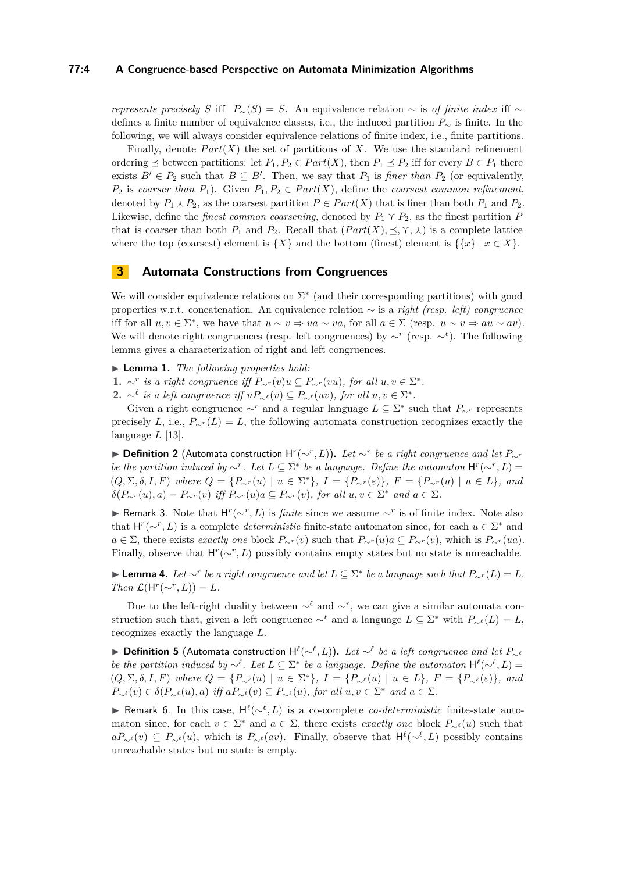#### **77:4 A Congruence-based Perspective on Automata Minimization Algorithms**

*represents precisely S* iff  $P_∼(S) = S$ . An equivalence relation ∼ is *of finite index* iff ∼ defines a finite number of equivalence classes, i.e., the induced partition *P*<sup>∼</sup> is finite. In the following, we will always consider equivalence relations of finite index, i.e., finite partitions.

Finally, denote  $Part(X)$  the set of partitions of X. We use the standard refinement ordering  $\leq$  between partitions: let  $P_1, P_2 \in Part(X)$ , then  $P_1 \leq P_2$  iff for every  $B \in P_1$  there exists  $B' \in P_2$  such that  $B \subseteq B'$ . Then, we say that  $P_1$  is *finer than*  $P_2$  (or equivalently,  $P_2$  is *coarser than*  $P_1$ ). Given  $P_1, P_2 \in Part(X)$ , define the *coarsest common refinement*, denoted by  $P_1 \wedge P_2$ , as the coarsest partition  $P \in Part(X)$  that is finer than both  $P_1$  and  $P_2$ . Likewise, define the *finest common coarsening*, denoted by  $P_1 \n\gamma P_2$ , as the finest partition  $P$ that is coarser than both  $P_1$  and  $P_2$ . Recall that  $(Part(X), \preceq, \gamma, \lambda)$  is a complete lattice where the top (coarsest) element is  $\{X\}$  and the bottom (finest) element is  $\{\{x\} | x \in X\}$ .

# <span id="page-3-0"></span>**3 Automata Constructions from Congruences**

We will consider equivalence relations on  $\Sigma^*$  (and their corresponding partitions) with good properties w.r.t. concatenation. An equivalence relation ∼ is a *right (resp. left) congruence* iff for all  $u, v \in \Sigma^*$ , we have that  $u \sim v \Rightarrow ua \sim va$ , for all  $a \in \Sigma$  (resp.  $u \sim v \Rightarrow au \sim av$ ). We will denote right congruences (resp. left congruences) by ∼*<sup>r</sup>* (resp. ∼*`* ). The following lemma gives a characterization of right and left congruences.

I **Lemma 1.** *The following properties hold:*

**1.** ∼<sup>*r*</sup> *is a right congruence iff*  $P_{\sim}r(v)u \subseteq P_{\sim}r(vu)$ *, for all*  $u, v \in \Sigma^*$ *.* 

**2.** ∼<sup> $\ell$ </sup> *is a left congruence iff*  $uP_{\sim} \ell(v) \subseteq P_{\sim} \ell(uv)$ *, for all*  $u, v \in \Sigma^*$ *.* 

Given a right congruence  $\sim^r$  and a regular language  $L \subseteq \Sigma^*$  such that  $P_{\sim^r}$  represents precisely *L*, i.e.,  $P_{\sim r}(L) = L$ , the following automata construction recognizes exactly the language *L* [\[13\]](#page-13-3).

▶ **Definition 2** (Automata construction  $H^r(\sim^r, L)$ ). Let  $\sim^r$  be a right congruence and let  $P_{\sim^r}$ *be the partition induced by*  $\sim$ <sup>*r*</sup>. Let  $L \subseteq \Sigma^*$  *be a language. Define the automaton*  $H^r(\sim^r, L)$  =  $(Q, \Sigma, \delta, I, F)$  where  $Q = \{P_{\sim}(u) \mid u \in \Sigma^*\}, I = \{P_{\sim}(v) \mid F = \{P_{\sim}(u) \mid u \in L\},\$ and  $\delta(P_{\sim r}(u), a) = P_{\sim r}(v)$  *iff*  $P_{\sim r}(u)a \subseteq P_{\sim r}(v)$ *, for all*  $u, v \in \Sigma^*$  *and*  $a \in \Sigma$ *.* 

**F** Remark 3. Note that  $H^r(\sim^r, L)$  is *finite* since we assume  $\sim^r$  is of finite index. Note also that  $H^r(\sim^r, L)$  is a complete *deterministic* finite-state automaton since, for each  $u \in \Sigma^*$  and *a* ∈ Σ, there exists *exactly one* block  $P_{\sim}r(v)$  such that  $P_{\sim}r(u)a ⊆ P_{\sim}r(v)$ , which is  $P_{\sim}r(ua)$ . Finally, observe that  $H^r(\sim^r, L)$  possibly contains empty states but no state is unreachable.

► **Lemma 4.** Let  $\sim^r$  be a right congruence and let  $L \subseteq \Sigma^*$  be a language such that  $P_{\sim^r}(L) = L$ . *Then*  $\mathcal{L}(\mathsf{H}^r(\sim^r, L)) = L$ *.* 

Due to the left-right duality between  $\sim^{\ell}$  and  $\sim^{r}$ , we can give a similar automata construction such that, given a left congruence  $\sim^{\ell}$  and a language  $L \subseteq \Sigma^*$  with  $P_{\sim^{\ell}}(L) = L$ , recognizes exactly the language *L*.

▶ Definition 5 (Automata construction  $H^{\ell}(\sim^{\ell}, L)$ ). Let  $\sim^{\ell}$  be a left congruence and let  $P_{\sim^{\ell}}$ *be the partition induced by* ∼<sup> $\ell$ </sup>. Let  $L \subseteq \Sigma^*$  *be a language. Define the automaton*  $H^{\ell}(\sim^{\ell}, L)$  =  $(Q, \Sigma, \delta, I, F)$  where  $Q = \{P_{\sim^{\ell}}(u) \mid u \in \Sigma^*\}, I = \{P_{\sim^{\ell}}(u) \mid u \in L\}, F = \{P_{\sim^{\ell}}(\varepsilon)\},\$ and  $P_{\sim}^{\ell}(v) \in \delta(P_{\sim}^{\ell}(u), a)$  *iff*  $aP_{\sim}^{\ell}(v) \subseteq P_{\sim}^{\ell}(u)$ *, for all*  $u, v \in \Sigma^*$  *and*  $a \in \Sigma$ *.* 

**Exember Remark 6.** In this case,  $H^{\ell}(\sim^{\ell}, L)$  is a co-complete *co-deterministic* finite-state automaton since, for each  $v \in \Sigma^*$  and  $a \in \Sigma$ , there exists *exactly one* block  $P_{\sim}(\nu)$  such that  $aP_{\sim}$ <sup>*ε*</sup>(*v*) ⊆  $P_{\sim}$ *ε*(*u*), which is  $P_{\sim}$ *ε*(*av*). Finally, observe that  $H^{\ell}(\sim^{\ell}, L)$  possibly contains unreachable states but no state is empty.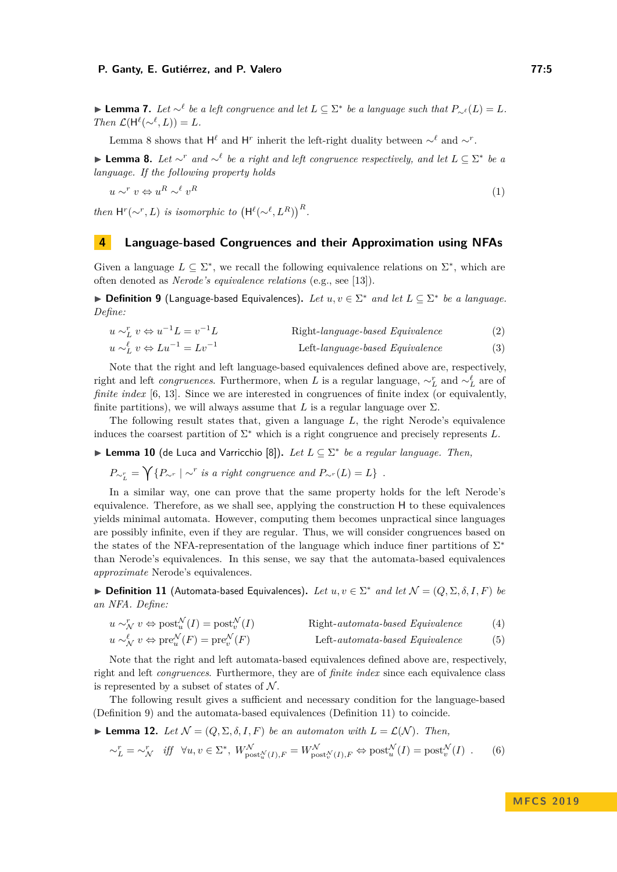► **Lemma 7.** *Let*  $\sim$ <sup>*l*</sup> *be a left congruence and let*  $L \subseteq \Sigma^*$  *be a language such that*  $P_{\sim}$ *<sup>* $\ell$ *</sup>* $(L) = L$ *.*  $Then \mathcal{L}(\mathsf{H}^{\ell}(\sim^{\ell}, L)) = L.$ 

Lemma [8](#page-4-1) shows that  $H^{\ell}$  and  $H^r$  inherit the left-right duality between ∼<sup> $\ell$ </sup> and ∼*r*.

<span id="page-4-1"></span>**► Lemma 8.** Let  $\sim^r$  and  $\sim^{\ell}$  be a right and left congruence respectively, and let  $L \subseteq \Sigma^*$  be a *language. If the following property holds*

*u* ∼<sup>*r*</sup> *v* ⇔ *u*<sup>*R*</sup> ∼<sup> $\ell$ </sup> *v*  $R$  (1)

*then*  $H^r(\sim^r, L)$  *is isomorphic to*  $(H^{\ell}(\sim^{\ell}, L^R))^R$ .

# <span id="page-4-0"></span>**4 Language-based Congruences and their Approximation using NFAs**

Given a language  $L \subseteq \Sigma^*$ , we recall the following equivalence relations on  $\Sigma^*$ , which are often denoted as *Nerode's equivalence relations* (e.g., see [\[13\]](#page-13-3)).

<span id="page-4-2"></span>▶ **Definition 9** (Language-based Equivalences). Let  $u, v \in \Sigma^*$  and let  $L \subseteq \Sigma^*$  be a language. *Define:*

<span id="page-4-5"></span><span id="page-4-4"></span>
$$
u \sim_L^r v \Leftrightarrow u^{-1}L = v^{-1}L \qquad \qquad \text{Right-language-based Equivalence} \tag{2}
$$

 $u$  ∼ $\iota$ <sup> $\ell$ </sup>  $Left$ *-language-based Equivalence* (3)

Note that the right and left language-based equivalences defined above are, respectively, right and left *congruences*. Furthermore, when *L* is a regular language,  $\sim_L^r$  and  $\sim_L^{\ell}$  are of *finite index* [\[6,](#page-12-6) [13\]](#page-13-3). Since we are interested in congruences of finite index (or equivalently, finite partitions), we will always assume that  $L$  is a regular language over  $\Sigma$ .

The following result states that, given a language *L*, the right Nerode's equivalence induces the coarsest partition of  $\Sigma^*$  which is a right congruence and precisely represents  $L$ .

<span id="page-4-8"></span>► Lemma 10 (de Luca and Varricchio [\[8\]](#page-12-9)). *Let*  $L \subseteq \Sigma^*$  *be a regular language. Then,* 

$$
P_{\sim_L^r} = \bigvee \{ P_{\sim^r} \mid \sim^r \text{ is a right congruence and } P_{\sim^r}(L) = L \} .
$$

In a similar way, one can prove that the same property holds for the left Nerode's equivalence. Therefore, as we shall see, applying the construction H to these equivalences yields minimal automata. However, computing them becomes unpractical since languages are possibly infinite, even if they are regular. Thus, we will consider congruences based on the states of the NFA-representation of the language which induce finer partitions of  $\Sigma^*$ than Nerode's equivalences. In this sense, we say that the automata-based equivalences *approximate* Nerode's equivalences.

<span id="page-4-3"></span>► **Definition 11** (Automata-based Equivalences). Let  $u, v \in \Sigma^*$  and let  $\mathcal{N} = (Q, \Sigma, \delta, I, F)$  be *an NFA. Define:*

<span id="page-4-7"></span><span id="page-4-6"></span>
$$
u \sim_N^r v \Leftrightarrow \text{post}_{u}^{\mathcal{N}}(I) = \text{post}_{v}^{\mathcal{N}}(I) \qquad \text{Right-automata-based Equivalence} \tag{4}
$$

$$
u \sim_N^{\ell} v \Leftrightarrow \text{pre}_u^{\mathcal{N}}(F) = \text{pre}_v^{\mathcal{N}}(F) \qquad \text{Left-automata-based Equivalence} \tag{5}
$$

Note that the right and left automata-based equivalences defined above are, respectively, right and left *congruences*. Furthermore, they are of *finite index* since each equivalence class is represented by a subset of states of  $N$ .

The following result gives a sufficient and necessary condition for the language-based (Definition [9\)](#page-4-2) and the automata-based equivalences (Definition [11\)](#page-4-3) to coincide.

<span id="page-4-10"></span>**I Lemma 12.** Let  $\mathcal{N} = (Q, \Sigma, \delta, I, F)$  be an automaton with  $L = \mathcal{L}(\mathcal{N})$ . Then,

<span id="page-4-9"></span>
$$
\sim_L^r = \sim_N^r \quad \text{iff} \quad \forall u, v \in \Sigma^*, \ W_{\text{post}_u^{\mathcal{N}}(I), F}^{\mathcal{N}} = W_{\text{post}_v^{\mathcal{N}}(I), F}^{\mathcal{N}} \Leftrightarrow \text{post}_u^{\mathcal{N}}(I) = \text{post}_v^{\mathcal{N}}(I) \tag{6}
$$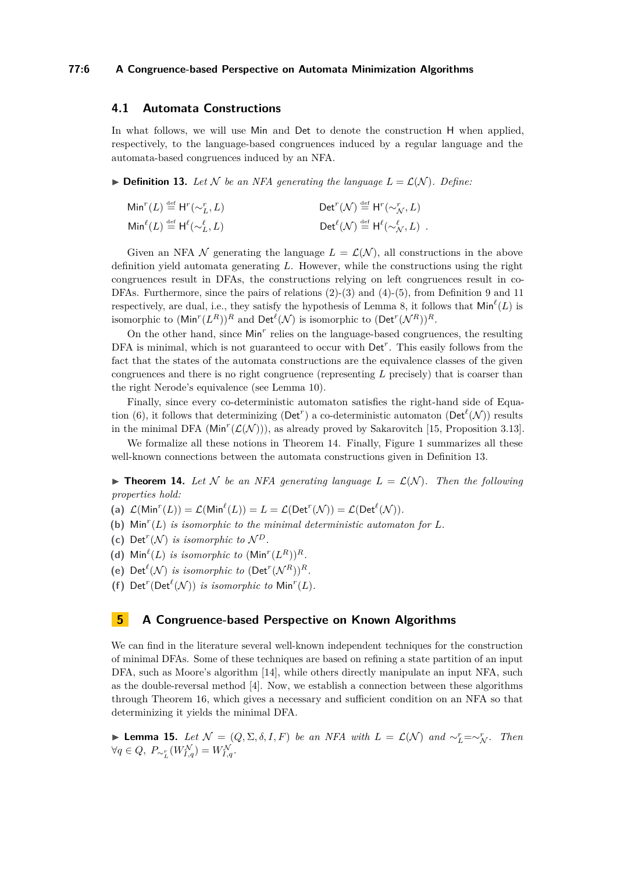#### **77:6 A Congruence-based Perspective on Automata Minimization Algorithms**

# **4.1 Automata Constructions**

In what follows, we will use Min and Det to denote the construction H when applied, respectively, to the language-based congruences induced by a regular language and the automata-based congruences induced by an NFA.

<span id="page-5-2"></span> $\blacktriangleright$  **Definition 13.** Let N be an NFA generating the language  $L = \mathcal{L}(\mathcal{N})$ . Define:

| $\text{Min}^{r}(L) \stackrel{\text{def}}{=} \text{H}^{r}(\sim_L^r, L)$                                      | $\mathsf{Det}^r(\mathcal{N}) \stackrel{\text{\tiny def}}{=} \mathsf{H}^r(\sim_{\mathcal{N}}^r, L)$ |
|-------------------------------------------------------------------------------------------------------------|----------------------------------------------------------------------------------------------------|
| $\mathsf{Min}^{\ell}(L) \stackrel{\scriptscriptstyle{\mathsf{def}}}{=} \mathsf{H}^{\ell}(\sim_L^{\ell}, L)$ | $Det^{\ell}(\mathcal{N}) \stackrel{\text{def}}{=} H^{\ell}(\sim_{\mathcal{N}}^{\ell}, L)$ .        |

Given an NFA N generating the language  $L = \mathcal{L}(\mathcal{N})$ , all constructions in the above definition yield automata generating *L*. However, while the constructions using the right congruences result in DFAs, the constructions relying on left congruences result in co-DFAs. Furthermore, since the pairs of relations [\(2\)](#page-4-4)-[\(3\)](#page-4-5) and [\(4\)](#page-4-6)-[\(5\)](#page-4-7), from Definition [9](#page-4-2) and [11](#page-4-3) respectively, are dual, i.e., they satisfy the hypothesis of Lemma [8,](#page-4-1) it follows that  $\mathsf{Min}^{\ell}(L)$  is isomorphic to  $(\text{Min}^r(L^R))^R$  and  $\text{Det}^{\ell}(\mathcal{N})$  is isomorphic to  $(\text{Det}^r(\mathcal{N}^R))^R$ .

On the other hand, since Min<sup>r</sup> relies on the language-based congruences, the resulting DFA is minimal, which is not guaranteed to occur with  $Det<sup>r</sup>$ . This easily follows from the fact that the states of the automata constructions are the equivalence classes of the given congruences and there is no right congruence (representing *L* precisely) that is coarser than the right Nerode's equivalence (see Lemma [10\)](#page-4-8).

Finally, since every co-deterministic automaton satisfies the right-hand side of Equa-tion [\(6\)](#page-4-9), it follows that determinizing (Det<sup>r</sup>) a co-deterministic automaton (Det<sup> $\ell$ </sup>(N)) results in the minimal DFA ( $Min^r(\mathcal{L}(\mathcal{N}))$ ), as already proved by Sakarovitch [\[15,](#page-13-4) Proposition 3.13].

We formalize all these notions in Theorem [14.](#page-5-1) Finally, Figure [1](#page-6-0) summarizes all these well-known connections between the automata constructions given in Definition [13.](#page-5-2)

<span id="page-5-1"></span>**Theorem 14.** Let N be an NFA generating language  $L = \mathcal{L}(\mathcal{N})$ . Then the following *properties hold:*

- (a)  $\mathcal{L}(\text{Min}^r(L)) = \mathcal{L}(\text{Min}^{\ell}(L)) = L = \mathcal{L}(\text{Det}^r(\mathcal{N})) = \mathcal{L}(\text{Det}^{\ell}(\mathcal{N})).$
- <span id="page-5-8"></span>(b)  $\text{Min}^r(L)$  *is isomorphic to the minimal deterministic automaton for*  $L$ *.*
- <span id="page-5-7"></span>(c) Det<sup> $r(N)$ </sup> *is isomorphic to*  $N^D$ .
- <span id="page-5-5"></span>(d)  $\text{Min}^{\ell}(L)$  *is isomorphic to*  $(\text{Min}^r(L^R))^R$ *.*
- <span id="page-5-4"></span>(e) Det<sup> $\ell$ </sup>(*N*) *is isomorphic to* (Det<sup>*r*</sup>(*N*<sup>*R*</sup>))<sup>*R*</sup>.
- <span id="page-5-3"></span>(f) Det<sup> $r$ </sup>(Det<sup> $\ell$ </sup>( $\mathcal{N}$ )) *is isomorphic to* Min<sup> $r$ </sup>( $L$ ).

#### <span id="page-5-0"></span>**5 A Congruence-based Perspective on Known Algorithms**

We can find in the literature several well-known independent techniques for the construction of minimal DFAs. Some of these techniques are based on refining a state partition of an input DFA, such as Moore's algorithm [\[14\]](#page-13-0), while others directly manipulate an input NFA, such as the double-reversal method [\[4\]](#page-12-1). Now, we establish a connection between these algorithms through Theorem [16,](#page-6-1) which gives a necessary and sufficient condition on an NFA so that determinizing it yields the minimal DFA.

<span id="page-5-6"></span>► **Lemma 15.** *Let*  $\mathcal{N} = (Q, \Sigma, \delta, I, F)$  *be an NFA with*  $L = \mathcal{L}(\mathcal{N})$  *and*  $\sim_L^r = \sim_N^r$ *. Then*  $\forall q \in Q, P_{\sim_L^r}(W_{I,q}^{\mathcal{N}}) = W_{I,q}^{\mathcal{N}}.$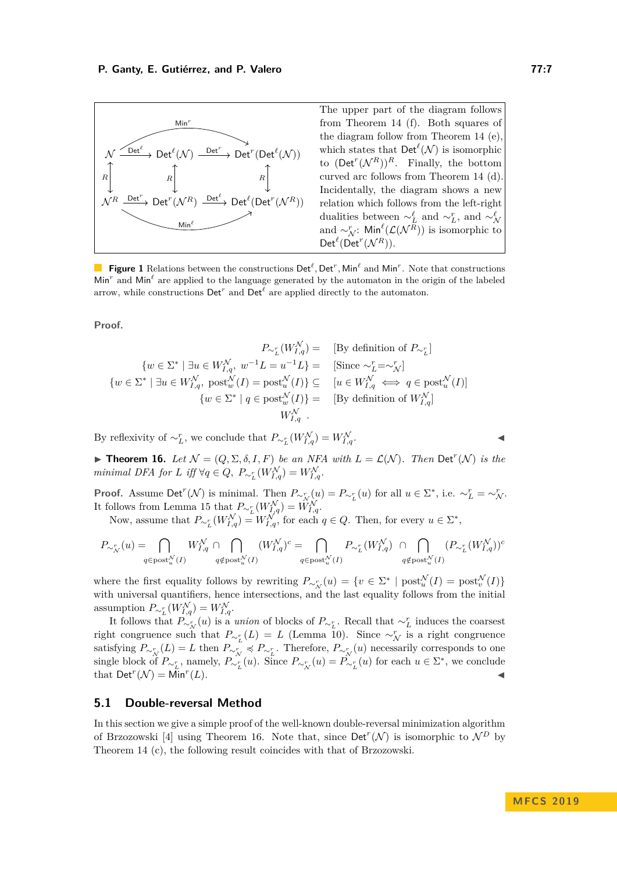<span id="page-6-0"></span>

**Figure 1** Relations between the constructions  $\text{Det}^{\ell}$ ,  $\text{Det}^r$ ,  $\text{Min}^{\ell}$  and  $\text{Min}^r$ . Note that constructions Min<sup>r</sup> and Min<sup>l</sup> are applied to the language generated by the automaton in the origin of the labeled arrow, while constructions  $\mathsf{Det}^r$  and  $\mathsf{Det}^{\ell}$  are applied directly to the automaton.

**Proof.**

$$
P_{\sim_L^r}(W_{I,q}^{\mathcal{N}}) = \text{ [By definition of } P_{\sim_L^r}]\n\{w \in \Sigma^* \mid \exists u \in W_{I,q}^{\mathcal{N}}, w^{-1}L = u^{-1}L\} = \text{ [Since } \sim_L^r = \sim_{\mathcal{N}}^r]\n\{w \in \Sigma^* \mid \exists u \in W_{I,q}^{\mathcal{N}}, \text{ post}_w^{\mathcal{N}}(I) = \text{post}_u^{\mathcal{N}}(I)\} \subseteq \text{ [ } [u \in W_{I,q}^{\mathcal{N}} \iff q \in \text{post}_u^{\mathcal{N}}(I)]\n\{w \in \Sigma^* \mid q \in \text{post}_w^{\mathcal{N}}(I)\} = \text{ [By definition of } W_{I,q}^{\mathcal{N}}\n\} = \text{ [ } W_{I,q}^{\mathcal{N}} \text{ .}
$$

By reflexivity of  $\sim_L^r$ , we conclude that  $P_{\sim_L^r}(W_{I,q}^{\mathcal{N}}) = W_{I,\mathcal{N}}^{\mathcal{N}}$  $I,q$ .

<span id="page-6-1"></span>**Findment 16.** Let  $\mathcal{N} = (Q, \Sigma, \delta, I, F)$  be an NFA with  $L = \mathcal{L}(\mathcal{N})$ . Then Det<sup>r</sup>(N) is the *minimal DFA for L iff*  $\forall q \in Q$ ,  $P_{\sim_L^r}(W_{I,q}^{\mathcal{N}}) = W_{I,q}^{\mathcal{N}}$ .

**Proof.** Assume Det<sup>*r*</sup>( $\mathcal{N}$ ) is minimal. Then  $P_{\sim_{\mathcal{N}}^r}(u) = P_{\sim_{L}^r}(u)$  for all  $u \in \Sigma^*$ , i.e.  $\sim_L^r = \sim_{\mathcal{N}}^r$ . It follows from Lemma [15](#page-5-6) that  $P_{\sim_L^r}(W_{I,q}^{\mathcal{N}}) = W_{I,q}^{\mathcal{N}}$ .

Now, assume that  $P_{\sim_L^r}(W_{I,q}^{\mathcal{N}}) = W_{I,q}^{\mathcal{N}}$ , for each  $q \in Q$ . Then, for every  $u \in \Sigma^*$ ,

$$
P_{\sim_N^r}(u) = \bigcap_{q \in \text{post}_u^{\mathcal{N}}(I)} W_{I,q}^{\mathcal{N}} \cap \bigcap_{q \notin \text{post}_u^{\mathcal{N}}(I)} (W_{I,q}^{\mathcal{N}})^c = \bigcap_{q \in \text{post}_u^{\mathcal{N}}(I)} P_{\sim_L^r}(W_{I,q}^{\mathcal{N}}) \ \cap \bigcap_{q \notin \text{post}_u^{\mathcal{N}}(I)} (P_{\sim_L^r}(W_{I,q}^{\mathcal{N}}))^c
$$

where the first equality follows by rewriting  $P_{\sim N} (u) = \{ v \in \Sigma^* \mid \text{post}_u^{\mathcal{N}}(I) = \text{post}_v^{\mathcal{N}}(I) \}$ with universal quantifiers, hence intersections, and the last equality follows from the initial assumption  $P_{\sim_L^r}(W_{I,q}^{\mathcal{N}}) = W_{I,q}^{\mathcal{N}}$ .

It follows that  $P_{\sim N}^V(u)$  is a *union* of blocks of  $P_{\sim L}$ . Recall that  $\sim_L^L$  induces the coarsest right congruence such that  $P_{\sim_L^r}(L) = L$  (Lemma [10\)](#page-4-8). Since  $\sim_N^r$  is a right congruence satisfying  $P_{\sim_{\mathcal{N}}^r}(L) = L$  then  $P_{\sim_{\mathcal{N}}^r} \preccurlyeq P_{\sim_{L}^r}$ . Therefore,  $P_{\sim_{\mathcal{N}}^r}(u)$  necessarily corresponds to one single block of  $P_{\sim_L^r}$ , namely,  $P_{\sim_L^r}(u)$ . Since  $P_{\sim_L^r}(u) = P_{\sim_L^r}(u)$  for each  $u \in \Sigma^*$ , we conclude that  $\mathsf{Det}^r(\mathcal{N}) = \mathsf{Min}^r$  $(L)$ .

#### **5.1 Double-reversal Method**

<span id="page-6-2"></span>In this section we give a simple proof of the well-known double-reversal minimization algorithm of Brzozowski [\[4\]](#page-12-1) using Theorem [16.](#page-6-1) Note that, since  $\text{Det}^r(\mathcal{N})$  is isomorphic to  $\mathcal{N}^D$  by Theorem [14](#page-5-1) [\(c\)](#page-5-7), the following result coincides with that of Brzozowski.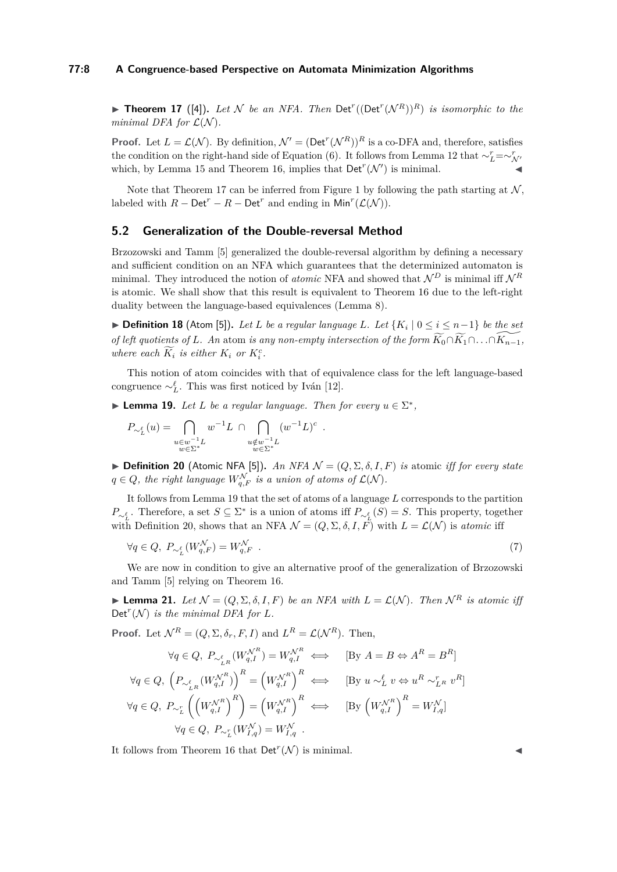## **77:8 A Congruence-based Perspective on Automata Minimization Algorithms**

**Theorem 17** ([\[4\]](#page-12-1)). Let N be an NFA. Then  $Det^r((Det^r(N^R))^R)$  is isomorphic to the *minimal DFA for*  $\mathcal{L}(\mathcal{N})$ *.* 

**Proof.** Let  $L = \mathcal{L}(\mathcal{N})$ . By definition,  $\mathcal{N}' = (\text{Det}^r(\mathcal{N}^R))^R$  is a co-DFA and, therefore, satisfies the condition on the right-hand side of Equation [\(6\)](#page-4-9). It follows from Lemma [12](#page-4-10) that  $\sim_L^r = \sim_N^r$ which, by Lemma [15](#page-5-6) and Theorem [16,](#page-6-1) implies that  $\mathsf{Det}^r(\mathcal{N}')$  is minimal.

Note that Theorem [17](#page-6-2) can be inferred from Figure [1](#page-6-0) by following the path starting at  $\mathcal{N}$ , labeled with  $R - \mathsf{Det}^r - R - \mathsf{Det}^r$  and ending in  $\mathsf{Min}^r(\mathcal{L}(\mathcal{N}))$ .

# **5.2 Generalization of the Double-reversal Method**

Brzozowski and Tamm [\[5\]](#page-12-2) generalized the double-reversal algorithm by defining a necessary and sufficient condition on an NFA which guarantees that the determinized automaton is minimal. They introduced the notion of *atomic* NFA and showed that  $\mathcal{N}^D$  is minimal iff  $\mathcal{N}^R$ is atomic. We shall show that this result is equivalent to Theorem [16](#page-6-1) due to the left-right duality between the language-based equivalences (Lemma [8\)](#page-4-1).

▶ **Definition 18** (Atom [\[5\]](#page-12-2)). Let *L* be a regular language *L*. Let  $\{K_i \mid 0 \le i \le n-1\}$  be the set *of left quotients of L. An* atom *is any non-empty intersection of the form*  $\widetilde{K_0} \cap \widetilde{K_1} \cap \ldots \cap \widetilde{K_{n-1}}$ , *where each*  $\widetilde{K}_i$  *is either*  $K_i$  *or*  $K_i^c$ *.* 

This notion of atom coincides with that of equivalence class for the left language-based congruence  $\sim_L^{\ell}$ . This was first noticed by Iván [\[12\]](#page-13-5).

*.*

<span id="page-7-0"></span>**Lemma 19.** *Let L be a regular language. Then for every*  $u \in \Sigma^*$ ,

$$
P_{\sim_L^{\ell}}(u)=\bigcap_{\substack{u\in w^{-1}L\\ w\in \Sigma^*}}w^{-1}L\ \cap \bigcap_{\substack{u\notin w^{-1}L\\ w\in \Sigma^*}}(w^{-1}L)^c
$$

<span id="page-7-1"></span> $\triangleright$  **Definition 20** (Atomic NFA [\[5\]](#page-12-2)). *An NFA*  $\mathcal{N} = (Q, \Sigma, \delta, I, F)$  *is* atomic *iff for every state*  $q \in Q$ , the right language  $W_{q,F}^{\mathcal{N}}$  is a union of atoms of  $\mathcal{L}(\mathcal{N})$ .

It follows from Lemma [19](#page-7-0) that the set of atoms of a language *L* corresponds to the partition *P*∼<sup>*i*</sup>. Therefore, a set *S* ⊆ ∑<sup>\*</sup> is a union of atoms iff  $P_{\sim}^{\ell}$  (*S*) = *S*. This property, together with Definition [20,](#page-7-1) shows that an NFA  $\mathcal{N} = (Q, \Sigma, \delta, I, F)$  with  $L = \mathcal{L}(\mathcal{N})$  is *atomic* iff

$$
\forall q \in Q, \ P_{\sim_L^{\ell}}(W_{q,F}^{\mathcal{N}}) = W_{q,F}^{\mathcal{N}} \tag{7}
$$

We are now in condition to give an alternative proof of the generalization of Brzozowski and Tamm [\[5\]](#page-12-2) relying on Theorem [16.](#page-6-1)

**Lemma 21.** Let  $\mathcal{N} = (Q, \Sigma, \delta, I, F)$  be an NFA with  $L = \mathcal{L}(\mathcal{N})$ . Then  $\mathcal{N}^R$  is atomic iff  $Det<sup>r</sup>(N)$  *is the minimal DFA for L.* 

**Proof.** Let  $\mathcal{N}^R = (Q, \Sigma, \delta_r, F, I)$  and  $L^R = \mathcal{L}(\mathcal{N}^R)$ . Then,

$$
\forall q \in Q, \ P_{\sim_{LR}^{\ell}}(W_{q,I}^{\mathcal{N}^R}) = W_{q,I}^{\mathcal{N}^R} \iff \qquad [\text{By } A = B \Leftrightarrow A^R = B^R]
$$
  

$$
\forall q \in Q, \ \left(P_{\sim_{LR}^{\ell}}(W_{q,I}^{\mathcal{N}^R})\right)^R = \left(W_{q,I}^{\mathcal{N}^R}\right)^R \iff \qquad [\text{By } u \sim_L^{\ell} v \Leftrightarrow u^R \sim_{LR}^r v^R]
$$
  

$$
\forall q \in Q, \ P_{\sim_L^r} \left(\left(W_{q,I}^{\mathcal{N}^R}\right)^R\right) = \left(W_{q,I}^{\mathcal{N}^R}\right)^R \iff \qquad [\text{By } \left(W_{q,I}^{\mathcal{N}^R}\right)^R = W_{I,q}^{\mathcal{N}}]
$$
  

$$
\forall q \in Q, \ P_{\sim_L^r}(W_{I,q}^{\mathcal{N}}) = W_{I,q}^{\mathcal{N}}.
$$

It follows from Theorem [16](#page-6-1) that  $\mathsf{Det}^r(\mathcal{N})$  is minimal.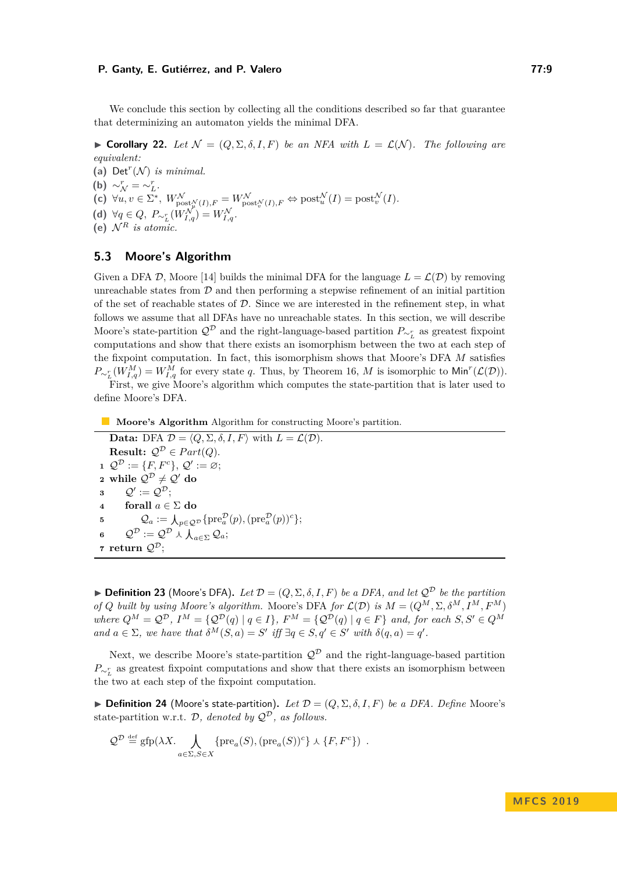We conclude this section by collecting all the conditions described so far that guarantee that determinizing an automaton yields the minimal DFA.

 $▶$  **Corollary 22.** *Let*  $N = (Q, \Sigma, \delta, I, F)$  *be an NFA with*  $L = \mathcal{L}(\mathcal{N})$ *. The following are equivalent:*

(a)  $Det^r(N)$  *is minimal.* **(b)**  $\sim_V^r = \sim_L^r$ .  $(\mathbf{c}) \ \forall u, v \in \Sigma^*, \ W_{\text{post}_{u}^{\mathcal{N}}(I), F}^{\mathcal{N}} = W_{\text{post}_{v}^{\mathcal{N}}(I), F}^{\mathcal{N}} \Leftrightarrow \text{post}_{u}^{\mathcal{N}}(I) = \text{post}_{v}^{\mathcal{N}}(I).$ **(d)**  $\forall q \in Q, P_{\sim_L^r}(W_{I,q}^{\mathcal{N}}) = W_{I,q}^{\mathcal{N}}.$ (e)  $\mathcal{N}^R$  *is atomic.* 

# **5.3 Moore's Algorithm**

Given a DFA  $\mathcal{D}$ , Moore [\[14\]](#page-13-0) builds the minimal DFA for the language  $L = \mathcal{L}(\mathcal{D})$  by removing unreachable states from  $D$  and then performing a stepwise refinement of an initial partition of the set of reachable states of  $D$ . Since we are interested in the refinement step, in what follows we assume that all DFAs have no unreachable states. In this section, we will describe Moore's state-partition  $\mathcal{Q}^{\mathcal{D}}$  and the right-language-based partition  $P_{\sim_L^r}$  as greatest fixpoint computations and show that there exists an isomorphism between the two at each step of the fixpoint computation. In fact, this isomorphism shows that Moore's DFA *M* satisfies  $P_{\sim_L^r}(W_{I,q}^M) = W_{I,q}^M$  for every state *q*. Thus, by Theorem [16,](#page-6-1) *M* is isomorphic to Min<sup>*r*</sup>( $\mathcal{L}(\mathcal{D})$ ).

First, we give Moore's algorithm which computes the state-partition that is later used to define Moore's DFA.

# **Moore's Algorithm** Algorithm for constructing Moore's partition.

**Data:** DFA  $\mathcal{D} = \langle Q, \Sigma, \delta, I, F \rangle$  with  $L = \mathcal{L}(\mathcal{D})$ . **Result:**  $Q^{\mathcal{D}} \in Part(Q)$ . **1**  $\mathcal{Q}^{\mathcal{D}} := \{F, F^c\}, \mathcal{Q}' := \varnothing;$ **2** while  $\mathcal{Q}^{\mathcal{D}} \neq \mathcal{Q}'$  do  $\mathcal{Q}' := \mathcal{Q}^\mathcal{D};$ **4 forall**  $a \in \Sigma$  **do 5**  $Q_a := \bigwedge_{p \in \mathcal{Q}^{\mathcal{D}}} \{ \mathrm{pre}_a^{\mathcal{D}}(p), (\mathrm{pre}_a^{\mathcal{D}}(p))^c \};$  $\mathcal{Q}^{\mathcal{D}}:=\mathcal{Q}^{\mathcal{D}}\curlywedge\bigwedge_{a\in\Sigma}\mathcal{Q}_{a};$ **7 return**  $\mathcal{Q}^{\mathcal{D}}$ ;

<span id="page-8-1"></span> $\blacktriangleright$  **Definition 23** (Moore's DFA). Let  $\mathcal{D} = (Q, \Sigma, \delta, I, F)$  be a DFA, and let  $\mathcal{Q}^{\mathcal{D}}$  be the partition *of Q built by using Moore's algorithm.* Moore's DFA *for*  $\mathcal{L}(\mathcal{D})$  *is*  $M = (Q^M, \Sigma, \delta^M, I^M, F^M)$ *where*  $Q^M = Q^D$ ,  $I^M = \{Q^D(q) | q \in I\}$ ,  $F^M = \{Q^D(q) | q \in F\}$  and, for each  $S, S' \in Q^M$ *and*  $a \in \Sigma$ , we have that  $\delta^M(S, a) = S'$  iff  $\exists q \in S, q' \in S'$  with  $\delta(q, a) = q'$ .

Next, we describe Moore's state-partition  $\mathcal{Q}^{\mathcal{D}}$  and the right-language-based partition  $P_{\sim_L^r}$  as greatest fixpoint computations and show that there exists an isomorphism between the two at each step of the fixpoint computation.

<span id="page-8-0"></span> $\blacktriangleright$  **Definition 24** (Moore's state-partition). Let  $\mathcal{D} = (Q, \Sigma, \delta, I, F)$  be a DFA. Define Moore's state-partition w.r.t.  $\mathcal{D}$ *, denoted by*  $\mathcal{Q}^{\mathcal{D}}$ *, as follows.* 

$$
\mathcal{Q}^{\mathcal{D}} \stackrel{\text{def}}{=} \text{gfp}(\lambda X. \bigwedge_{a \in \Sigma, S \in X} \{ \text{pre}_a(S), (\text{pre}_a(S))^c \} \wedge \{F, F^c \}) .
$$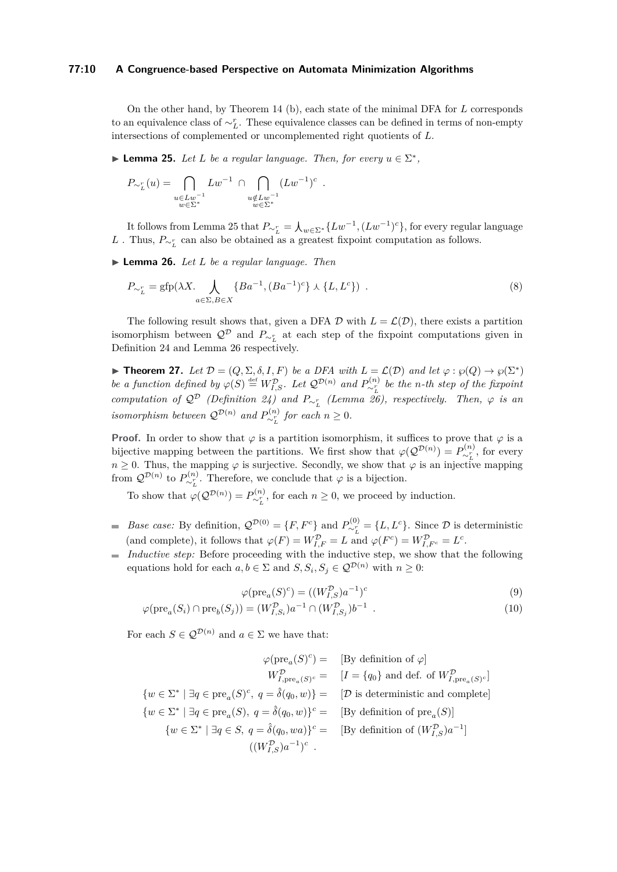#### **77:10 A Congruence-based Perspective on Automata Minimization Algorithms**

On the other hand, by Theorem [14](#page-5-1) [\(b\)](#page-5-8), each state of the minimal DFA for *L* corresponds to an equivalence class of  $\sim_L^r$ . These equivalence classes can be defined in terms of non-empty intersections of complemented or uncomplemented right quotients of *L*.

<span id="page-9-0"></span>**Lemma 25.** *Let L be a regular language. Then, for every*  $u \in \Sigma^*$ ,

$$
P_{\sim_L^r}(u) = \bigcap_{\substack{u \in Lw^{-1} \\ w \in \Sigma^*}} Lw^{-1} \cap \bigcap_{\substack{u \notin Lw^{-1} \\ w \in \Sigma^*}} (Lw^{-1})^c.
$$

It follows from Lemma [25](#page-9-0) that  $P_{\sim_L^r} = \int_{\omega \in \Sigma^*} \{Lw^{-1}, (Lw^{-1})^c\}$ , for every regular language *L* . Thus,  $P_ ∼^r_L$  can also be obtained as a greatest fixpoint computation as follows.

<span id="page-9-1"></span>I **Lemma 26.** *Let L be a regular language. Then*

$$
P_{\sim_L^r} = \text{gfp}(\lambda X. \bigwedge_{a \in \Sigma, B \in X} \{Ba^{-1}, (Ba^{-1})^c\} \wedge \{L, L^c\}) .
$$
 (8)

The following result shows that, given a DFA  $\mathcal D$  with  $L = \mathcal L(\mathcal D)$ , there exists a partition isomorphism between  $\mathcal{Q}^{\mathcal{D}}$  and  $P_{\sim_L^r}$  at each step of the fixpoint computations given in Definition [24](#page-8-0) and Lemma [26](#page-9-1) respectively.

**► Theorem 27.** Let  $\mathcal{D} = (Q, \Sigma, \delta, I, F)$  be a DFA with  $L = \mathcal{L}(\mathcal{D})$  and let  $\varphi : \varphi(Q) \to \varphi(\Sigma^*)$ *be a function defined by*  $\varphi(S) \stackrel{\text{def}}{=} W_{I,S}^{\mathcal{D}}$ *. Let*  $\mathcal{Q}^{\mathcal{D}(n)}$  *and*  $P_{\sim_L}^{(n)}$  *be the n-th step of the fixpoint computation of*  $Q^D$  *(Definition [24\)](#page-8-0)* and  $P_{\sim_L^r}$  *(Lemma [26\)](#page-9-1), respectively. Then,*  $\varphi$  *is an isomorphism between*  $Q^{\mathcal{D}(n)}$  *and*  $P_{\sim_L^r}^{(n)}$  *for each*  $n \geq 0$ *.* 

**Proof.** In order to show that  $\varphi$  is a partition isomorphism, it suffices to prove that  $\varphi$  is a bijective mapping between the partitions. We first show that  $\varphi(\mathcal{Q}^{(n)}) = P^{(n)}_{\sim_r^r}$ , for every  $n \geq 0$ . Thus, the mapping  $\varphi$  is surjective. Secondly, we show that  $\varphi$  is an injective mapping from  $\mathcal{Q}^{\mathcal{D}(n)}$  to  $P_{\sim_L^r}^{(n)}$ . Therefore, we conclude that  $\varphi$  is a bijection.

To show that  $\varphi(Q^{\mathcal{D}(n)}) = P_{\sim_L^r}^{(n)}$ , for each  $n \geq 0$ , we proceed by induction.

- *Base case:* By definition,  $\mathcal{Q}^{\mathcal{D}(0)} = \{F, F^c\}$  and  $P_{\sim_L^r}^{(0)} = \{L, L^c\}$ . Since  $\mathcal D$  is deterministic (and complete), it follows that  $\varphi(F) = W_{I,F}^{\mathcal{D}} = L$  and  $\varphi(F^c) = W_{I,F^c}^{\mathcal{D}} = L^c$ .
- *Inductive step:* Before proceeding with the inductive step, we show that the following  $\equiv$ equations hold for each  $a, b \in \Sigma$  and  $S, S_i, S_j \in \mathcal{Q}^{D(n)}$  with  $n \geq 0$ :

<span id="page-9-3"></span><span id="page-9-2"></span>
$$
\varphi(\text{pre}_a(S)^c) = ((W_{I,S}^{\mathcal{D}})a^{-1})^c \tag{9}
$$

$$
\varphi(\text{pre}_a(S_i) \cap \text{pre}_b(S_j)) = (W_{I,S_i}^{\mathcal{D}})a^{-1} \cap (W_{I,S_j}^{\mathcal{D}})b^{-1} . \tag{10}
$$

For each  $S \in \mathcal{Q}^{\mathcal{D}(n)}$  and  $a \in \Sigma$  we have that:

$$
\varphi(\text{pre}_a(S)^c) = \quad [\text{By definition of } \varphi]
$$
\n
$$
W_{I,\text{pre}_a(S)^c}^{\mathcal{D}} = \quad [I = \{q_0\} \text{ and def. of } W_{I,\text{pre}_a(S)^c}^{\mathcal{D}}]
$$
\n
$$
\{w \in \Sigma^* \mid \exists q \in \text{pre}_a(S)^c, \ q = \hat{\delta}(q_0, w)\} = \quad [\mathcal{D} \text{ is deterministic and complete}]
$$
\n
$$
\{w \in \Sigma^* \mid \exists q \in \text{pre}_a(S), \ q = \hat{\delta}(q_0, w)\}^c = \quad [\text{By definition of pre}_a(S)]
$$
\n
$$
\{w \in \Sigma^* \mid \exists q \in S, \ q = \hat{\delta}(q_0, wa)\}^c = \quad [\text{By definition of } (W_{I,S}^{\mathcal{D}})a^{-1}]
$$
\n
$$
((W_{I,S}^{\mathcal{D}})a^{-1})^c.
$$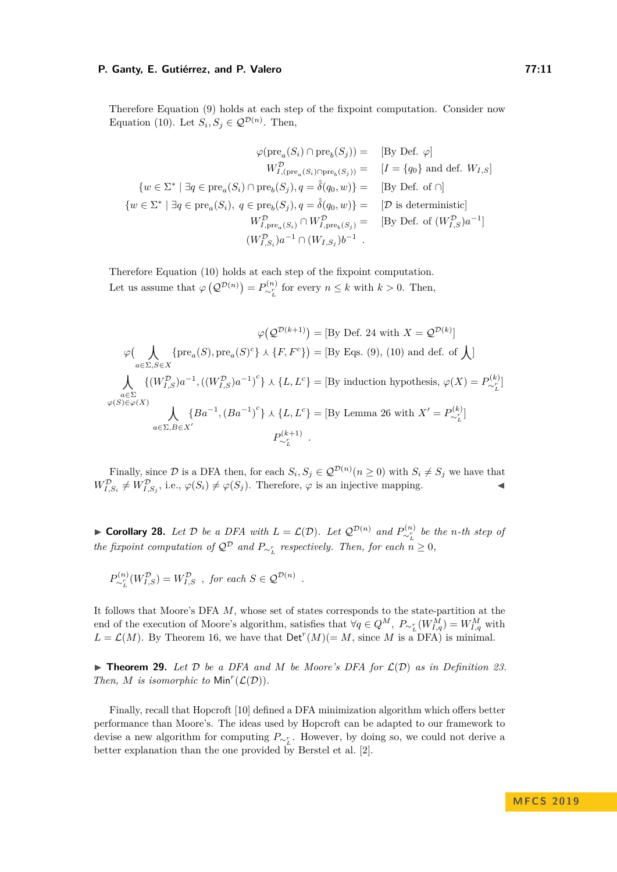Therefore Equation [\(9\)](#page-9-2) holds at each step of the fixpoint computation. Consider now Equation [\(10\)](#page-9-3). Let  $S_i, S_j \in \mathcal{Q}^{D(n)}$ . Then,

$$
\varphi(\text{pre}_a(S_i) \cap \text{pre}_b(S_j)) = \text{ [By Def. } \varphi]
$$
\n
$$
W_{I,(\text{pre}_a(S_i) \cap \text{pre}_b(S_j))}^{\mathcal{D}} = \text{ [I = {q_0} and def. } W_{I,S}]
$$
\n
$$
\{w \in \Sigma^* \mid \exists q \in \text{pre}_a(S_i) \cap \text{pre}_b(S_j), q = \hat{\delta}(q_0, w)\} = \text{ [By Def. of } \cap]
$$
\n
$$
\{w \in \Sigma^* \mid \exists q \in \text{pre}_a(S_i), q \in \text{pre}_b(S_j), q = \hat{\delta}(q_0, w)\} = \text{ [D is deterministic]}
$$
\n
$$
W_{I, \text{pre}_a(S_i)}^{\mathcal{D}} \cap W_{I, \text{pre}_b(S_j)}^{\mathcal{D}} = \text{ [By Def. of } (W_{I,S}^{\mathcal{D}})a^{-1}]
$$
\n
$$
(W_{I,S_i}^{\mathcal{D}})a^{-1} \cap (W_{I,S_j})b^{-1}.
$$

Therefore Equation [\(10\)](#page-9-3) holds at each step of the fixpoint computation. Let us assume that  $\varphi(Q^{\mathcal{D}(n)}) = P_{\sim_L^r}^{(n)}$  for every  $n \leq k$  with  $k > 0$ . Then,

$$
\varphi\left(\bigvee_{a\in\Sigma, S\in X} \{\text{pre}_a(S), \text{pre}_a(S)^c\} \wedge \{F, F^c\}\right) = [\text{By Eqs. (9), (10) and def. of }\bigwedge]
$$

$$
\phi\left(\bigvee_{a\in\Sigma, S\in X} \{\text{pre}_a(S), \text{pre}_a(S)^c\} \wedge \{F, F^c\}\right) = [\text{By Eqs. (9), (10) and def. of }\bigwedge]
$$

$$
\bigwedge_{a\in\Sigma} \{(W_{I,S}^D)a^{-1}, ((W_{I,S}^D)a^{-1})^c\} \wedge \{L, L^c\} = [\text{By induction hypothesis}, \varphi(X) = P_{\sim_L}^{(k)}]
$$

$$
\varphi(S)\in\varphi(X)
$$

$$
\bigwedge_{a\in\Sigma, B\in X'} \{Ba^{-1}, (Ba^{-1})^c\} \wedge \{L, L^c\} = [\text{By Lemma 26 with } X' = P_{\sim_L}^{(k)}]
$$

$$
P_{\sim_L}^{(k+1)}.
$$

Finally, since  $D$  is a DFA then, for each  $S_i$ ,  $S_j \in \mathcal{Q}^{D(n)}$   $(n \geq 0)$  with  $S_i \neq S_j$  we have that  $W_{I,S_i}^{\mathcal{D}} \neq W_{I,S_j}^{\mathcal{D}},$  i.e.,  $\varphi(S_i) \neq \varphi(S_j)$ . Therefore,  $\varphi$  is an injective mapping.

► **Corollary 28.** Let  $D$  be a DFA with  $L = \mathcal{L}(D)$ . Let  $\mathcal{Q}^{D(n)}$  and  $P^{(n)}_{\sim_L^r}$  be the n-th step of *the fixpoint computation of*  $\mathcal{Q}^{\mathcal{D}}$  *and*  $P_{\sim_L^r}$  *respectively. Then, for each*  $n \geq 0$ *,* 

*.*

$$
P_{\sim_L^r}^{(n)}(W_{I,S}^{\mathcal{D}}) = W_{I,S}^{\mathcal{D}} \text{ , for each } S \in \mathcal{Q}^{\mathcal{D}(n)}
$$

It follows that Moore's DFA  $M$ , whose set of states corresponds to the state-partition at the end of the execution of Moore's algorithm, satisfies that  $\forall q \in Q^M$ ,  $P_{\sim_L^r}(W_{I,q}^M) = W_{I,q}^M$  with  $L = \mathcal{L}(M)$ . By Theorem [16,](#page-6-1) we have that  $\text{Det}^{r}(M) (= M)$ , since M is a DFA) is minimal.

 $\triangleright$  **Theorem 29.** Let  $\mathcal{D}$  be a DFA and  $M$  be Moore's DFA for  $\mathcal{L}(\mathcal{D})$  as in Definition [23.](#page-8-1) *Then, M is isomorphic to*  $Min<sup>r</sup>(\mathcal{L}(\mathcal{D}))$ *.* 

Finally, recall that Hopcroft [\[10\]](#page-12-0) defined a DFA minimization algorithm which offers better performance than Moore's. The ideas used by Hopcroft can be adapted to our framework to devise a new algorithm for computing  $P_{\sim_L^r}$ . However, by doing so, we could not derive a better explanation than the one provided by Berstel et al. [\[2\]](#page-12-10).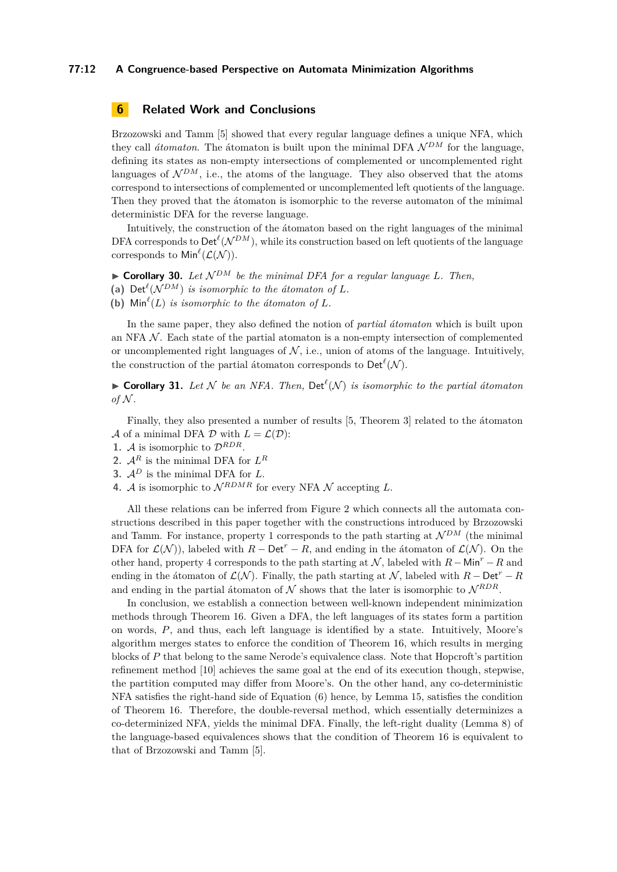#### **77:12 A Congruence-based Perspective on Automata Minimization Algorithms**

# <span id="page-11-0"></span>**6 Related Work and Conclusions**

Brzozowski and Tamm [\[5\]](#page-12-2) showed that every regular language defines a unique NFA, which they call *átomaton*. The átomaton is built upon the minimal DFA  $\mathcal{N}^{DM}$  for the language, defining its states as non-empty intersections of complemented or uncomplemented right languages of  $\mathcal{N}^{DM}$ , i.e., the atoms of the language. They also observed that the atoms correspond to intersections of complemented or uncomplemented left quotients of the language. Then they proved that the átomaton is isomorphic to the reverse automaton of the minimal deterministic DFA for the reverse language.

Intuitively, the construction of the átomaton based on the right languages of the minimal DFA corresponds to  $\mathsf{Det}^{\ell}(\mathcal{N}^{DM})$ , while its construction based on left quotients of the language corresponds to  $\mathsf{Min}^{\ell}(\mathcal{L}(\mathcal{N})).$ 

<span id="page-11-4"></span> $\triangleright$  **Corollary 30.** Let  $\mathcal{N}^{DM}$  be the minimal DFA for a regular language L. Then,

<span id="page-11-5"></span>(a) Det<sup> $\ell$ </sup>( $\mathcal{N}^{DM}$ ) *is isomorphic to the átomaton of L.* 

<span id="page-11-6"></span>(b)  $\text{Min}^{\ell}(L)$  *is isomorphic to the átomaton of*  $L$ *.* 

In the same paper, they also defined the notion of *partial átomaton* which is built upon an NFA  $\mathcal N$ . Each state of the partial atomaton is a non-empty intersection of complemented or uncomplemented right languages of  $\mathcal{N}$ , i.e., union of atoms of the language. Intuitively, the construction of the partial átomaton corresponds to  $\mathsf{Det}^{\ell}(\mathcal{N})$ .

<span id="page-11-3"></span>**Corollary 31.** Let N be an NFA. Then,  $Det^{\ell}(N)$  is isomorphic to the partial átomaton *of*  $N$ .

Finally, they also presented a number of results [\[5,](#page-12-2) Theorem 3] related to the átomaton A of a minimal DFA  $D$  with  $L = \mathcal{L}(D)$ :

<span id="page-11-1"></span>**1.** A is isomorphic to  $\mathcal{D}^{RDR}$ .

**2.**  $A^R$  is the minimal DFA for  $L^R$ 

- **3.**  $A^D$  is the minimal DFA for  $L$ .
- <span id="page-11-2"></span>**4.** A is isomorphic to  $\mathcal{N}^{RDMR}$  for every NFA  $\mathcal{N}$  accepting  $L$ .

All these relations can be inferred from Figure [2](#page-12-11) which connects all the automata constructions described in this paper together with the constructions introduced by Brzozowski and Tamm. For instance, property [1](#page-11-1) corresponds to the path starting at  $\mathcal{N}^{DM}$  (the minimal DFA for  $\mathcal{L}(\mathcal{N})$ , labeled with  $R - \text{Det}^r - R$ , and ending in the átomaton of  $\mathcal{L}(\mathcal{N})$ . On the other hand, property [4](#page-11-2) corresponds to the path starting at N , labeled with *R*−Min*<sup>r</sup>* −*R* and ending in the átomaton of  $\mathcal{L}(\mathcal{N})$ . Finally, the path starting at N, labeled with  $R - \text{Det}^r - R$ and ending in the partial átomaton of  $N$  shows that the later is isomorphic to  $N^{RDR}$ .

In conclusion, we establish a connection between well-known independent minimization methods through Theorem [16.](#page-6-1) Given a DFA, the left languages of its states form a partition on words, *P*, and thus, each left language is identified by a state. Intuitively, Moore's algorithm merges states to enforce the condition of Theorem [16,](#page-6-1) which results in merging blocks of *P* that belong to the same Nerode's equivalence class. Note that Hopcroft's partition refinement method [\[10\]](#page-12-0) achieves the same goal at the end of its execution though, stepwise, the partition computed may differ from Moore's. On the other hand, any co-deterministic NFA satisfies the right-hand side of Equation [\(6\)](#page-4-9) hence, by Lemma [15,](#page-5-6) satisfies the condition of Theorem [16.](#page-6-1) Therefore, the double-reversal method, which essentially determinizes a co-determinized NFA, yields the minimal DFA. Finally, the left-right duality (Lemma [8\)](#page-4-1) of the language-based equivalences shows that the condition of Theorem [16](#page-6-1) is equivalent to that of Brzozowski and Tamm [\[5\]](#page-12-2).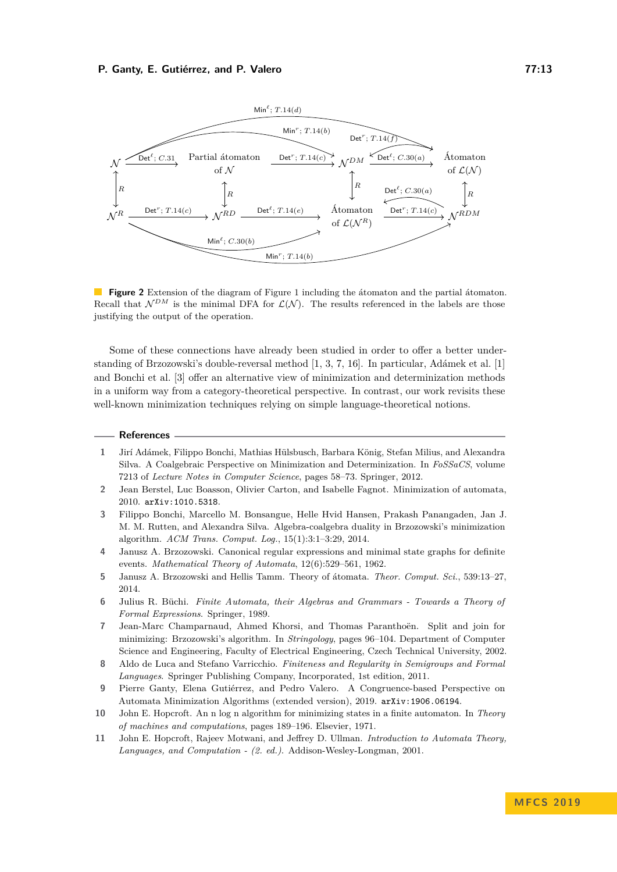<span id="page-12-11"></span>

**Figure 2** Extension of the diagram of Figure [1](#page-6-0) including the átomaton and the partial átomaton. Recall that  $\mathcal{N}^{DM}$  is the minimal DFA for  $\mathcal{L}(\mathcal{N})$ . The results referenced in the labels are those justifying the output of the operation.

Some of these connections have already been studied in order to offer a better understanding of Brzozowski's double-reversal method [\[1,](#page-12-4) [3,](#page-12-3) [7,](#page-12-5) [16\]](#page-13-2). In particular, Adámek et al. [\[1\]](#page-12-4) and Bonchi et al. [\[3\]](#page-12-3) offer an alternative view of minimization and determinization methods in a uniform way from a category-theoretical perspective. In contrast, our work revisits these well-known minimization techniques relying on simple language-theoretical notions.

#### **References**

- <span id="page-12-4"></span>**1** Jirí Adámek, Filippo Bonchi, Mathias Hülsbusch, Barbara König, Stefan Milius, and Alexandra Silva. A Coalgebraic Perspective on Minimization and Determinization. In *FoSSaCS*, volume 7213 of *Lecture Notes in Computer Science*, pages 58–73. Springer, 2012.
- <span id="page-12-10"></span>**2** Jean Berstel, Luc Boasson, Olivier Carton, and Isabelle Fagnot. Minimization of automata, 2010. [arXiv:1010.5318](http://arxiv.org/abs/1010.5318).
- <span id="page-12-3"></span>**3** Filippo Bonchi, Marcello M. Bonsangue, Helle Hvid Hansen, Prakash Panangaden, Jan J. M. M. Rutten, and Alexandra Silva. Algebra-coalgebra duality in Brzozowski's minimization algorithm. *ACM Trans. Comput. Log.*, 15(1):3:1–3:29, 2014.
- <span id="page-12-1"></span>**4** Janusz A. Brzozowski. Canonical regular expressions and minimal state graphs for definite events. *Mathematical Theory of Automata*, 12(6):529–561, 1962.
- <span id="page-12-2"></span>**5** Janusz A. Brzozowski and Hellis Tamm. Theory of átomata. *Theor. Comput. Sci.*, 539:13–27, 2014.
- <span id="page-12-6"></span>**6** Julius R. Büchi. *Finite Automata, their Algebras and Grammars - Towards a Theory of Formal Expressions*. Springer, 1989.
- <span id="page-12-5"></span>**7** Jean-Marc Champarnaud, Ahmed Khorsi, and Thomas Paranthoën. Split and join for minimizing: Brzozowski's algorithm. In *Stringology*, pages 96–104. Department of Computer Science and Engineering, Faculty of Electrical Engineering, Czech Technical University, 2002.
- <span id="page-12-9"></span>**8** Aldo de Luca and Stefano Varricchio. *Finiteness and Regularity in Semigroups and Formal Languages*. Springer Publishing Company, Incorporated, 1st edition, 2011.
- <span id="page-12-7"></span>**9** Pierre Ganty, Elena Gutiérrez, and Pedro Valero. A Congruence-based Perspective on Automata Minimization Algorithms (extended version), 2019. [arXiv:1906.06194](http://arxiv.org/abs/1906.06194).
- <span id="page-12-0"></span>**10** John E. Hopcroft. An n log n algorithm for minimizing states in a finite automaton. In *Theory of machines and computations*, pages 189–196. Elsevier, 1971.
- <span id="page-12-8"></span>**11** John E. Hopcroft, Rajeev Motwani, and Jeffrey D. Ullman. *Introduction to Automata Theory, Languages, and Computation - (2. ed.)*. Addison-Wesley-Longman, 2001.